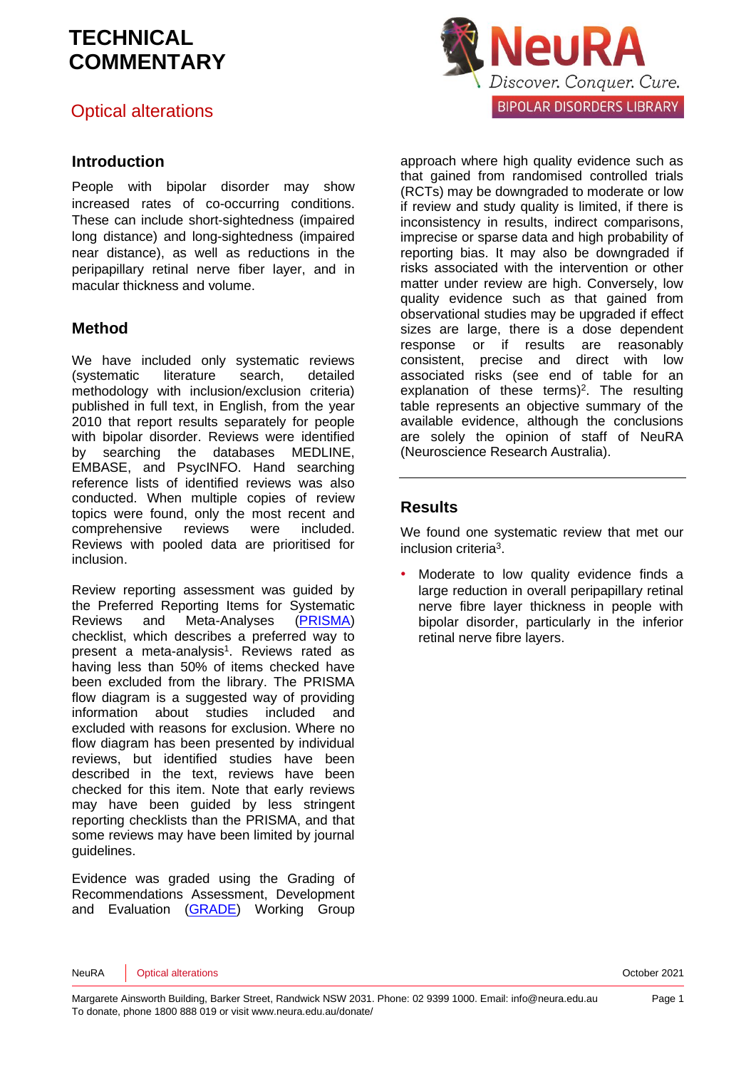### Optical alterations

#### **Introduction**

People with bipolar disorder may show increased rates of co-occurring conditions. These can include short-sightedness (impaired long distance) and long-sightedness (impaired near distance), as well as reductions in the peripapillary retinal nerve fiber layer, and in macular thickness and volume.

#### **Method**

We have included only systematic reviews (systematic literature search, detailed methodology with inclusion/exclusion criteria) published in full text, in English, from the year 2010 that report results separately for people with bipolar disorder. Reviews were identified by searching the databases MEDLINE, EMBASE, and PsycINFO. Hand searching reference lists of identified reviews was also conducted. When multiple copies of review topics were found, only the most recent and comprehensive reviews were included. Reviews with pooled data are prioritised for inclusion.

Review reporting assessment was guided by the Preferred Reporting Items for Systematic Reviews and Meta-Analyses [\(PRISMA\)](http://www.prisma-statement.org/) checklist, which describes a preferred way to pre[s](#page-4-0)ent a meta-analysis<sup>1</sup>. Reviews rated as having less than 50% of items checked have been excluded from the library. The PRISMA flow diagram is a suggested way of providing information about studies included and excluded with reasons for exclusion. Where no flow diagram has been presented by individual reviews, but identified studies have been described in the text, reviews have been checked for this item. Note that early reviews may have been guided by less stringent reporting checklists than the PRISMA, and that some reviews may have been limited by journal guidelines.

Evidence was graded using the Grading of Recommendations Assessment, Development and Evaluation [\(GRADE\)](http://www.gradeworkinggroup.org/) Working Group



approach where high quality evidence such as that gained from randomised controlled trials (RCTs) may be downgraded to moderate or low if review and study quality is limited, if there is inconsistency in results, indirect comparisons, imprecise or sparse data and high probability of reporting bias. It may also be downgraded if risks associated with the intervention or other matter under review are high. Conversely, low quality evidence such as that gained from observational studies may be upgraded if effect sizes are large, there is a dose dependent response or if results are reasonably consistent, precise and direct with low associated risks (see end of table for an explanation of these terms[\)](#page-4-1) 2 . The resulting table represents an objective summary of the available evidence, although the conclusions are solely the opinion of staff of NeuRA (Neuroscience Research Australia).

#### **Results**

We found one systematic review that met our inclusion criteri[a](#page-4-2)<sup>3</sup>.

Moderate to low quality evidence finds a large reduction in overall peripapillary retinal nerve fibre layer thickness in people with bipolar disorder, particularly in the inferior retinal nerve fibre layers.

NeuRA Optical alterations October 2021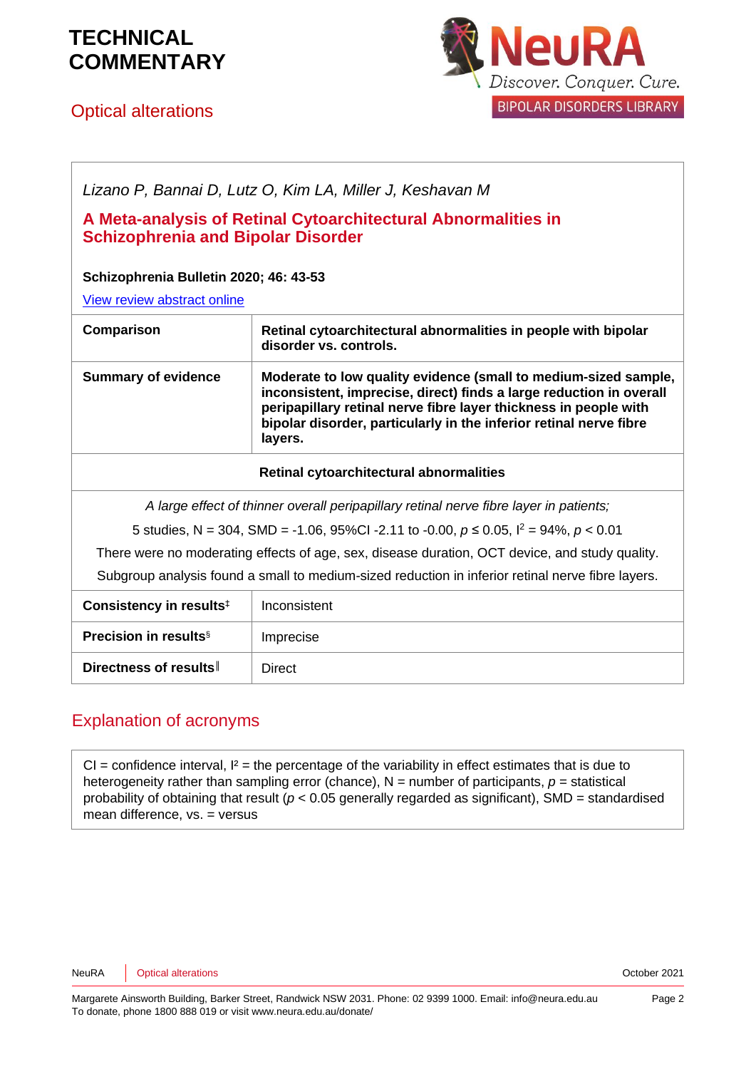

### Optical alterations



| Lizano P, Bannai D, Lutz O, Kim LA, Miller J, Keshavan M                                                   |                                                                                                                                                                                                                                                                                             |  |  |
|------------------------------------------------------------------------------------------------------------|---------------------------------------------------------------------------------------------------------------------------------------------------------------------------------------------------------------------------------------------------------------------------------------------|--|--|
| A Meta-analysis of Retinal Cytoarchitectural Abnormalities in<br><b>Schizophrenia and Bipolar Disorder</b> |                                                                                                                                                                                                                                                                                             |  |  |
| Schizophrenia Bulletin 2020; 46: 43-53                                                                     |                                                                                                                                                                                                                                                                                             |  |  |
| View review abstract online                                                                                |                                                                                                                                                                                                                                                                                             |  |  |
| Comparison                                                                                                 | Retinal cytoarchitectural abnormalities in people with bipolar<br>disorder vs. controls.                                                                                                                                                                                                    |  |  |
| <b>Summary of evidence</b>                                                                                 | Moderate to low quality evidence (small to medium-sized sample,<br>inconsistent, imprecise, direct) finds a large reduction in overall<br>peripapillary retinal nerve fibre layer thickness in people with<br>bipolar disorder, particularly in the inferior retinal nerve fibre<br>layers. |  |  |
| Retinal cytoarchitectural abnormalities                                                                    |                                                                                                                                                                                                                                                                                             |  |  |
| A large effect of thinner overall peripapillary retinal nerve fibre layer in patients;                     |                                                                                                                                                                                                                                                                                             |  |  |
| 5 studies, N = 304, SMD = -1.06, 95%Cl -2.11 to -0.00, $p \le 0.05$ , $l^2 = 94\%$ , $p < 0.01$            |                                                                                                                                                                                                                                                                                             |  |  |
| There were no moderating effects of age, sex, disease duration, OCT device, and study quality.             |                                                                                                                                                                                                                                                                                             |  |  |
| Subgroup analysis found a small to medium-sized reduction in inferior retinal nerve fibre layers.          |                                                                                                                                                                                                                                                                                             |  |  |
| Consistency in results <sup>#</sup>                                                                        | Inconsistent                                                                                                                                                                                                                                                                                |  |  |
| <b>Precision in results</b> <sup>§</sup>                                                                   | Imprecise                                                                                                                                                                                                                                                                                   |  |  |
| Directness of results                                                                                      | <b>Direct</b>                                                                                                                                                                                                                                                                               |  |  |

### Explanation of acronyms

 $CI =$  confidence interval,  $I^2 =$  the percentage of the variability in effect estimates that is due to heterogeneity rather than sampling error (chance),  $N =$  number of participants,  $p =$  statistical probability of obtaining that result ( $p < 0.05$  generally regarded as significant), SMD = standardised mean difference, vs. = versus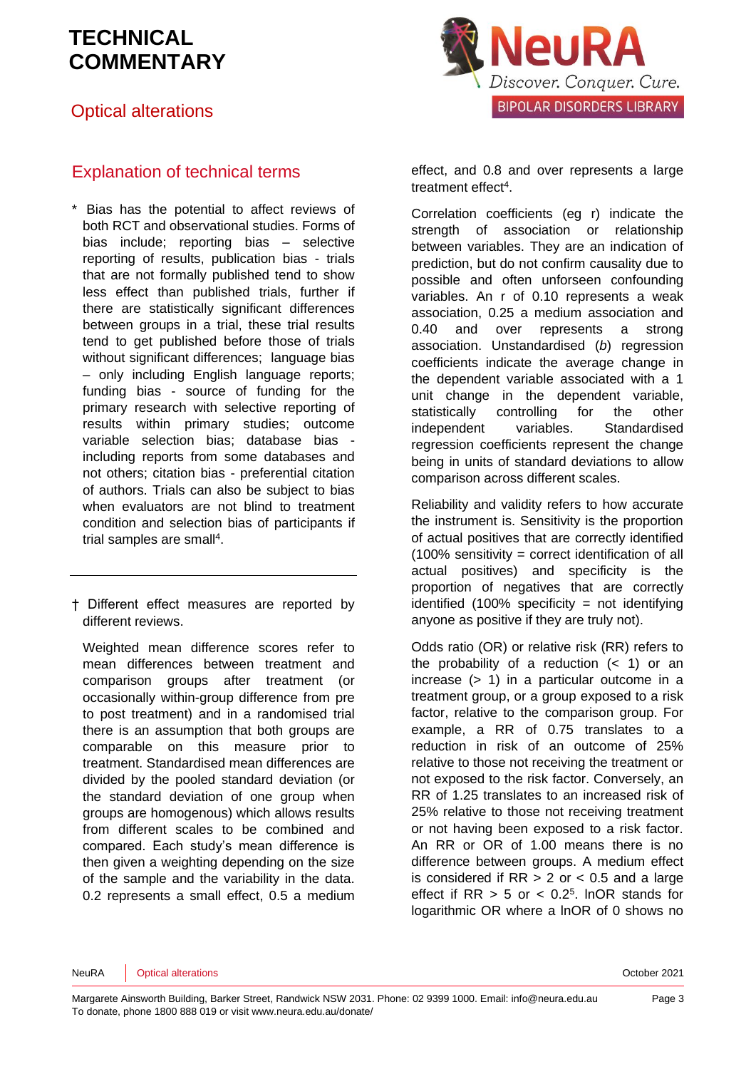Optical alterations



### Explanation of technical terms

\* Bias has the potential to affect reviews of both RCT and observational studies. Forms of bias include; reporting bias – selective reporting of results, publication bias - trials that are not formally published tend to show less effect than published trials, further if there are statistically significant differences between groups in a trial, these trial results tend to get published before those of trials without significant differences; language bias – only including English language reports; funding bias - source of funding for the primary research with selective reporting of results within primary studies; outcome variable selection bias; database bias including reports from some databases and not others; citation bias - preferential citation of authors. Trials can also be subject to bias when evaluators are not blind to treatment condition and selection bias of participants if trial samples are sma[ll](#page-4-3)<sup>4</sup>.

† Different effect measures are reported by different reviews.

Weighted mean difference scores refer to mean differences between treatment and comparison groups after treatment (or occasionally within-group difference from pre to post treatment) and in a randomised trial there is an assumption that both groups are comparable on this measure prior to treatment. Standardised mean differences are divided by the pooled standard deviation (or the standard deviation of one group when groups are homogenous) which allows results from different scales to be combined and compared. Each study's mean difference is then given a weighting depending on the size of the sample and the variability in the data. 0.2 represents a small effect, 0.5 a medium effect, and 0.8 and over represents a large treatment effect<sup>[4](#page-4-3)</sup>.

Correlation coefficients (eg r) indicate the strength of association or relationship between variables. They are an indication of prediction, but do not confirm causality due to possible and often unforseen confounding variables. An r of 0.10 represents a weak association, 0.25 a medium association and 0.40 and over represents a strong association. Unstandardised (*b*) regression coefficients indicate the average change in the dependent variable associated with a 1 unit change in the dependent variable, statistically controlling for the other independent variables. Standardised regression coefficients represent the change being in units of standard deviations to allow comparison across different scales.

Reliability and validity refers to how accurate the instrument is. Sensitivity is the proportion of actual positives that are correctly identified (100% sensitivity = correct identification of all actual positives) and specificity is the proportion of negatives that are correctly identified  $(100\%$  specificity = not identifying anyone as positive if they are truly not).

Odds ratio (OR) or relative risk (RR) refers to the probability of a reduction  $($   $<$  1) or an increase (> 1) in a particular outcome in a treatment group, or a group exposed to a risk factor, relative to the comparison group. For example, a RR of 0.75 translates to a reduction in risk of an outcome of 25% relative to those not receiving the treatment or not exposed to the risk factor. Conversely, an RR of 1.25 translates to an increased risk of 25% relative to those not receiving treatment or not having been exposed to a risk factor. An RR or OR of 1.00 means there is no difference between groups. A medium effect is considered if  $RR > 2$  or  $< 0.5$  and a large effect if  $RR > 5$  or  $< 0.2<sup>5</sup>$  $< 0.2<sup>5</sup>$  $< 0.2<sup>5</sup>$ . InOR stands for logarithmic OR where a lnOR of 0 shows no

NeuRA Optical alterations October 2021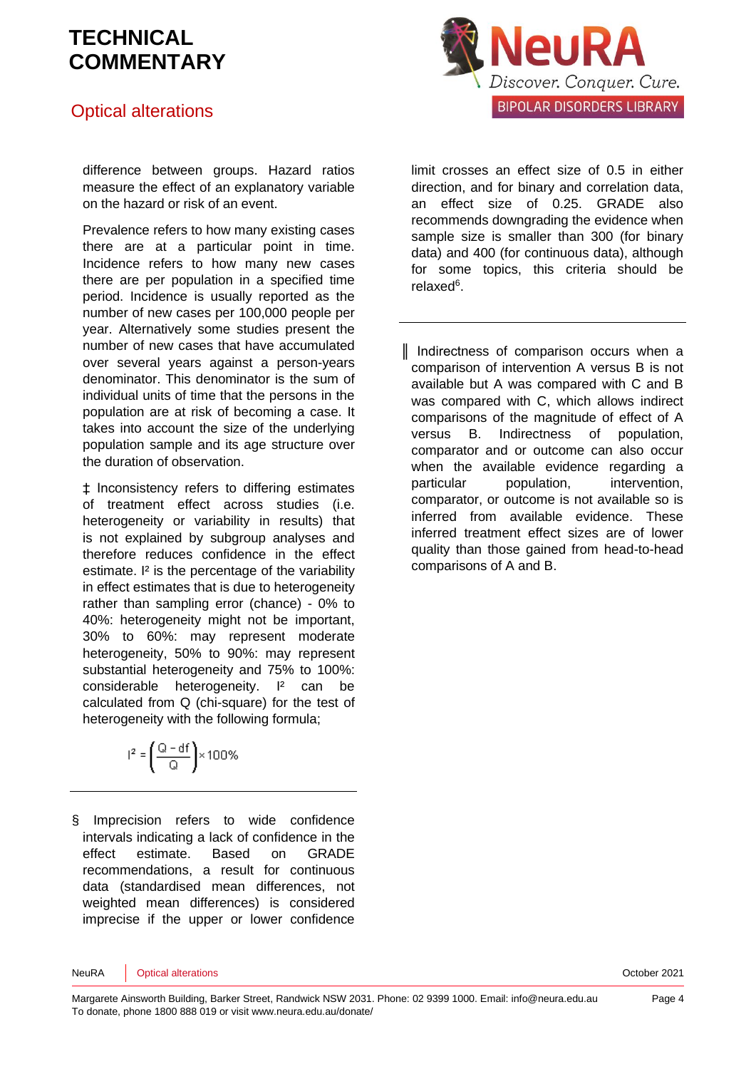### Optical alterations

difference between groups. Hazard ratios measure the effect of an explanatory variable on the hazard or risk of an event.

Prevalence refers to how many existing cases there are at a particular point in time. Incidence refers to how many new cases there are per population in a specified time period. Incidence is usually reported as the number of new cases per 100,000 people per year. Alternatively some studies present the number of new cases that have accumulated over several years against a person-years denominator. This denominator is the sum of individual units of time that the persons in the population are at risk of becoming a case. It takes into account the size of the underlying population sample and its age structure over the duration of observation.

‡ Inconsistency refers to differing estimates of treatment effect across studies (i.e. heterogeneity or variability in results) that is not explained by subgroup analyses and therefore reduces confidence in the effect estimate. <sup>I2</sup> is the percentage of the variability in effect estimates that is due to heterogeneity rather than sampling error (chance) - 0% to 40%: heterogeneity might not be important, 30% to 60%: may represent moderate heterogeneity, 50% to 90%: may represent substantial heterogeneity and 75% to 100%: considerable heterogeneity. I² can be calculated from Q (chi-square) for the test of heterogeneity with the following formula:

|  | $1^2 = \frac{Q - df}{2} \times 100\%$ |
|--|---------------------------------------|
|  |                                       |

§ Imprecision refers to wide confidence intervals indicating a lack of confidence in the effect estimate. Based on GRADE recommendations, a result for continuous data (standardised mean differences, not weighted mean differences) is considered imprecise if the upper or lower confidence



limit crosses an effect size of 0.5 in either direction, and for binary and correlation data, an effect size of 0.25. GRADE also recommends downgrading the evidence when sample size is smaller than 300 (for binary data) and 400 (for continuous data), although for some topics, this criteria should be relaxe[d](#page-4-5)<sup>6</sup>.

║ Indirectness of comparison occurs when a comparison of intervention A versus B is not available but A was compared with C and B was compared with C, which allows indirect comparisons of the magnitude of effect of A versus B. Indirectness of population, comparator and or outcome can also occur when the available evidence regarding a particular population, intervention, comparator, or outcome is not available so is inferred from available evidence. These inferred treatment effect sizes are of lower quality than those gained from head-to-head comparisons of A and B.

NeuRA Optical alterations October 2021